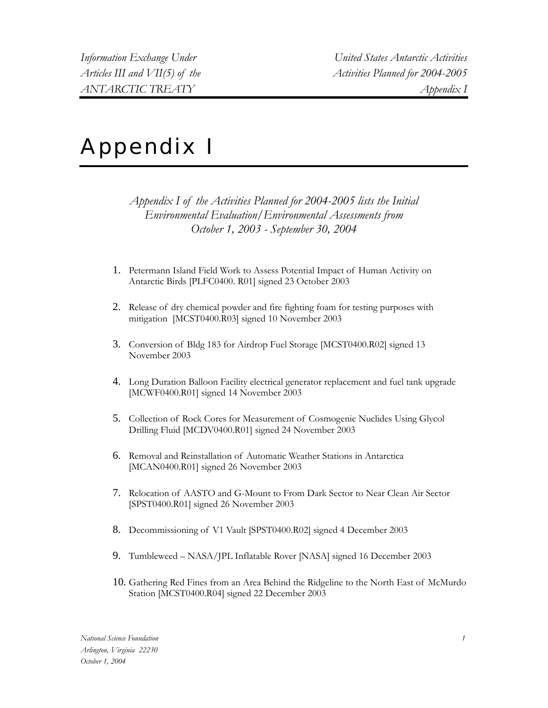## Appendix I

*Appendix I of the Activities Planned for 2004-2005 lists the Initial Environmental Evaluation/Environmental Assessments from October 1, 2003 - September 30, 2004* 

- 1. Petermann Island Field Work to Assess Potential Impact of Human Activity on Antarctic Birds [PLFC0400. R01] signed 23 October 2003
- 2. Release of dry chemical powder and fire fighting foam for testing purposes with mitigation [MCST0400.R03] signed 10 November 2003
- 3. Conversion of Bldg 183 for Airdrop Fuel Storage [MCST0400.R02] signed 13 November 2003
- 4. Long Duration Balloon Facility electrical generator replacement and fuel tank upgrade [MCWF0400.R01] signed 14 November 2003
- 5. Collection of Rock Cores for Measurement of Cosmogenic Nuclides Using Glycol Drilling Fluid [MCDV0400.R01] signed 24 November 2003
- 6. Removal and Reinstallation of Automatic Weather Stations in Antarctica [MCAN0400.R01] signed 26 November 2003
- 7. Relocation of AASTO and G-Mount to From Dark Sector to Near Clean Air Sector [SPST0400.R01] signed 26 November 2003
- 8. Decommissioning of V1 Vault [SPST0400.R02] signed 4 December 2003
- 9. Tumbleweed NASA/JPL Inflatable Rover [NASA] signed 16 December 2003
- 10. Gathering Red Fines from an Area Behind the Ridgeline to the North East of McMurdo Station [MCST0400.R04] signed 22 December 2003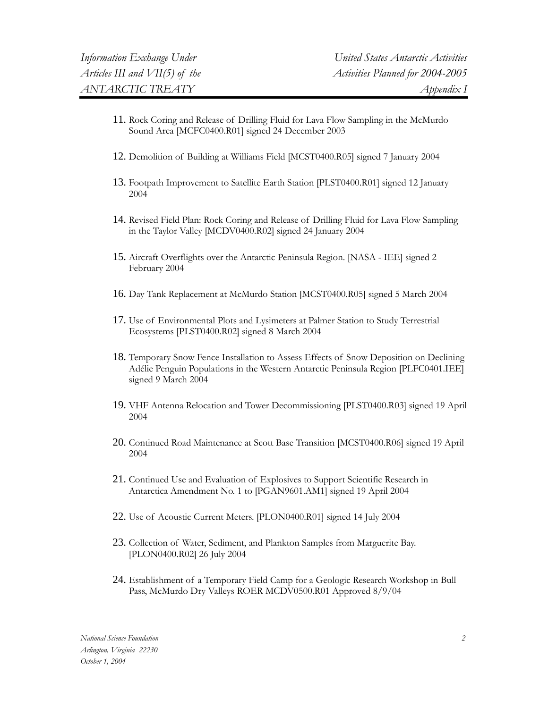- 11. Rock Coring and Release of Drilling Fluid for Lava Flow Sampling in the McMurdo Sound Area [MCFC0400.R01] signed 24 December 2003
- 12. Demolition of Building at Williams Field [MCST0400.R05] signed 7 January 2004
- 13. Footpath Improvement to Satellite Earth Station [PLST0400.R01] signed 12 January 2004
- 14. Revised Field Plan: Rock Coring and Release of Drilling Fluid for Lava Flow Sampling in the Taylor Valley [MCDV0400.R02] signed 24 January 2004
- 15. Aircraft Overflights over the Antarctic Peninsula Region. [NASA IEE] signed 2 February 2004
- 16. Day Tank Replacement at McMurdo Station [MCST0400.R05] signed 5 March 2004
- 17. Use of Environmental Plots and Lysimeters at Palmer Station to Study Terrestrial Ecosystems [PLST0400.R02] signed 8 March 2004
- 18. Temporary Snow Fence Installation to Assess Effects of Snow Deposition on Declining Adélie Penguin Populations in the Western Antarctic Peninsula Region [PLFC0401.IEE] signed 9 March 2004
- 19. VHF Antenna Relocation and Tower Decommissioning [PLST0400.R03] signed 19 April 2004
- 20. Continued Road Maintenance at Scott Base Transition [MCST0400.R06] signed 19 April 2004
- 21. Continued Use and Evaluation of Explosives to Support Scientific Research in Antarctica Amendment No. 1 to [PGAN9601.AM1] signed 19 April 2004
- 22. Use of Acoustic Current Meters. [PLON0400.R01] signed 14 July 2004
- 23. Collection of Water, Sediment, and Plankton Samples from Marguerite Bay. [PLON0400.R02] 26 July 2004
- 24. Establishment of a Temporary Field Camp for a Geologic Research Workshop in Bull Pass, McMurdo Dry Valleys ROER MCDV0500.R01 Approved 8/9/04